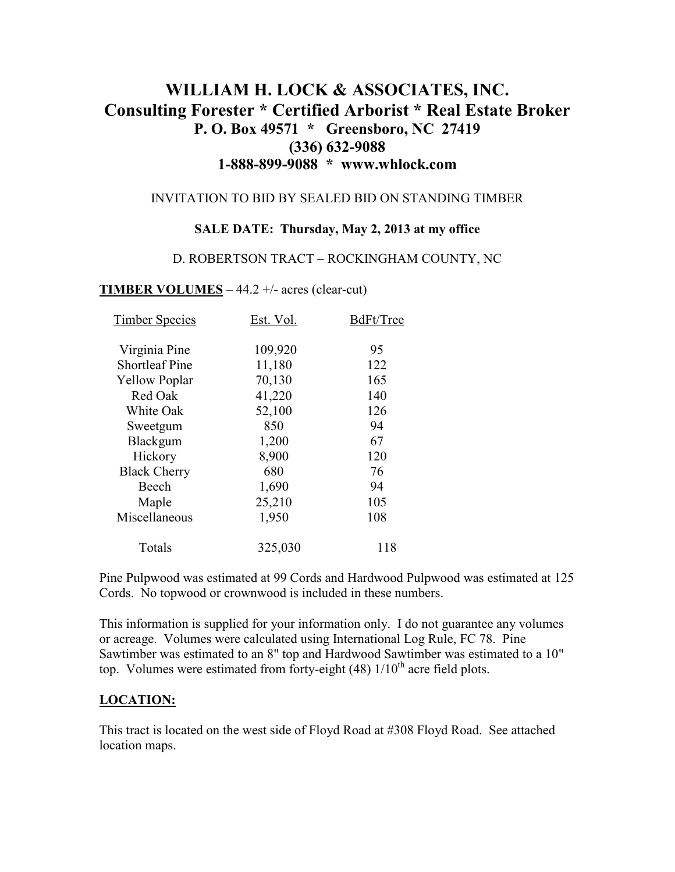# **WILLIAM H. LOCK & ASSOCIATES, INC. Consulting Forester \* Certified Arborist \* Real Estate Broker P. O. Box 49571 \* Greensboro, NC 27419 (336) 632-9088 1-888-899-9088 \* www.whlock.com**

#### INVITATION TO BID BY SEALED BID ON STANDING TIMBER

#### **SALE DATE: Thursday, May 2, 2013 at my office**

#### D. ROBERTSON TRACT – ROCKINGHAM COUNTY, NC

#### **TIMBER VOLUMES** – 44.2 +/- acres (clear-cut)

| <b>Timber Species</b> | Est. Vol. | BdFt/Tree |
|-----------------------|-----------|-----------|
| Virginia Pine         | 109,920   | 95        |
| <b>Shortleaf Pine</b> | 11,180    | 122       |
| <b>Yellow Poplar</b>  | 70,130    | 165       |
| Red Oak               | 41,220    | 140       |
| White Oak             | 52,100    | 126       |
| Sweetgum              | 850       | 94        |
| Blackgum              | 1,200     | 67        |
| Hickory               | 8,900     | 120       |
| <b>Black Cherry</b>   | 680       | 76        |
| Beech                 | 1,690     | 94        |
| Maple                 | 25,210    | 105       |
| Miscellaneous         | 1,950     | 108       |
| Totals                | 325,030   | 118       |

Pine Pulpwood was estimated at 99 Cords and Hardwood Pulpwood was estimated at 125 Cords. No topwood or crownwood is included in these numbers.

This information is supplied for your information only. I do not guarantee any volumes or acreage. Volumes were calculated using International Log Rule, FC 78. Pine Sawtimber was estimated to an 8" top and Hardwood Sawtimber was estimated to a 10" top. Volumes were estimated from forty-eight  $(48)$  1/10<sup>th</sup> acre field plots.

### **LOCATION:**

This tract is located on the west side of Floyd Road at #308 Floyd Road. See attached location maps.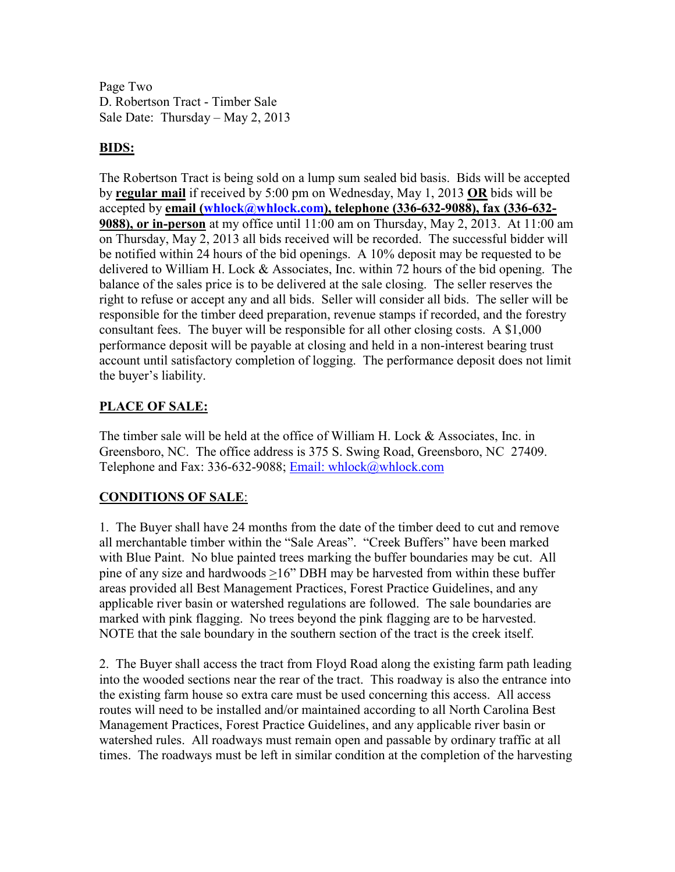Page Two D. Robertson Tract - Timber Sale Sale Date: Thursday – May 2, 2013

### **BIDS:**

The Robertson Tract is being sold on a lump sum sealed bid basis. Bids will be accepted by **regular mail** if received by 5:00 pm on Wednesday, May 1, 2013 **OR** bids will be accepted by **email (whlock@whlock.com), telephone (336-632-9088), fax (336-632- 9088), or in-person** at my office until 11:00 am on Thursday, May 2, 2013. At 11:00 am on Thursday, May 2, 2013 all bids received will be recorded. The successful bidder will be notified within 24 hours of the bid openings. A 10% deposit may be requested to be delivered to William H. Lock & Associates, Inc. within 72 hours of the bid opening. The balance of the sales price is to be delivered at the sale closing. The seller reserves the right to refuse or accept any and all bids. Seller will consider all bids. The seller will be responsible for the timber deed preparation, revenue stamps if recorded, and the forestry consultant fees. The buyer will be responsible for all other closing costs. A \$1,000 performance deposit will be payable at closing and held in a non-interest bearing trust account until satisfactory completion of logging. The performance deposit does not limit the buyer's liability.

## **PLACE OF SALE:**

The timber sale will be held at the office of William H. Lock & Associates, Inc. in Greensboro, NC. The office address is 375 S. Swing Road, Greensboro, NC 27409. Telephone and Fax: 336-632-9088; Email: whlock@whlock.com

## **CONDITIONS OF SALE**:

1. The Buyer shall have 24 months from the date of the timber deed to cut and remove all merchantable timber within the "Sale Areas". "Creek Buffers" have been marked with Blue Paint. No blue painted trees marking the buffer boundaries may be cut. All pine of any size and hardwoods >16" DBH may be harvested from within these buffer areas provided all Best Management Practices, Forest Practice Guidelines, and any applicable river basin or watershed regulations are followed. The sale boundaries are marked with pink flagging. No trees beyond the pink flagging are to be harvested. NOTE that the sale boundary in the southern section of the tract is the creek itself.

2. The Buyer shall access the tract from Floyd Road along the existing farm path leading into the wooded sections near the rear of the tract. This roadway is also the entrance into the existing farm house so extra care must be used concerning this access. All access routes will need to be installed and/or maintained according to all North Carolina Best Management Practices, Forest Practice Guidelines, and any applicable river basin or watershed rules. All roadways must remain open and passable by ordinary traffic at all times. The roadways must be left in similar condition at the completion of the harvesting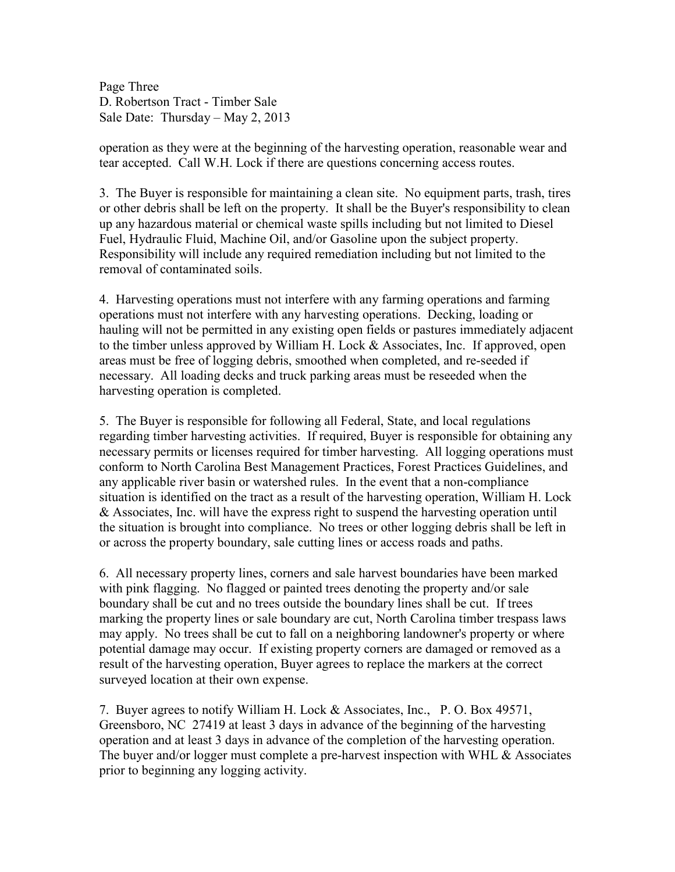Page Three D. Robertson Tract - Timber Sale Sale Date: Thursday – May 2, 2013

operation as they were at the beginning of the harvesting operation, reasonable wear and tear accepted. Call W.H. Lock if there are questions concerning access routes.

3. The Buyer is responsible for maintaining a clean site. No equipment parts, trash, tires or other debris shall be left on the property. It shall be the Buyer's responsibility to clean up any hazardous material or chemical waste spills including but not limited to Diesel Fuel, Hydraulic Fluid, Machine Oil, and/or Gasoline upon the subject property. Responsibility will include any required remediation including but not limited to the removal of contaminated soils.

4. Harvesting operations must not interfere with any farming operations and farming operations must not interfere with any harvesting operations. Decking, loading or hauling will not be permitted in any existing open fields or pastures immediately adjacent to the timber unless approved by William H. Lock & Associates, Inc. If approved, open areas must be free of logging debris, smoothed when completed, and re-seeded if necessary. All loading decks and truck parking areas must be reseeded when the harvesting operation is completed.

5. The Buyer is responsible for following all Federal, State, and local regulations regarding timber harvesting activities. If required, Buyer is responsible for obtaining any necessary permits or licenses required for timber harvesting. All logging operations must conform to North Carolina Best Management Practices, Forest Practices Guidelines, and any applicable river basin or watershed rules. In the event that a non-compliance situation is identified on the tract as a result of the harvesting operation, William H. Lock & Associates, Inc. will have the express right to suspend the harvesting operation until the situation is brought into compliance. No trees or other logging debris shall be left in or across the property boundary, sale cutting lines or access roads and paths.

6. All necessary property lines, corners and sale harvest boundaries have been marked with pink flagging. No flagged or painted trees denoting the property and/or sale boundary shall be cut and no trees outside the boundary lines shall be cut. If trees marking the property lines or sale boundary are cut, North Carolina timber trespass laws may apply. No trees shall be cut to fall on a neighboring landowner's property or where potential damage may occur. If existing property corners are damaged or removed as a result of the harvesting operation, Buyer agrees to replace the markers at the correct surveyed location at their own expense.

7. Buyer agrees to notify William H. Lock & Associates, Inc., P. O. Box 49571, Greensboro, NC 27419 at least 3 days in advance of the beginning of the harvesting operation and at least 3 days in advance of the completion of the harvesting operation. The buyer and/or logger must complete a pre-harvest inspection with WHL  $\&$  Associates prior to beginning any logging activity.